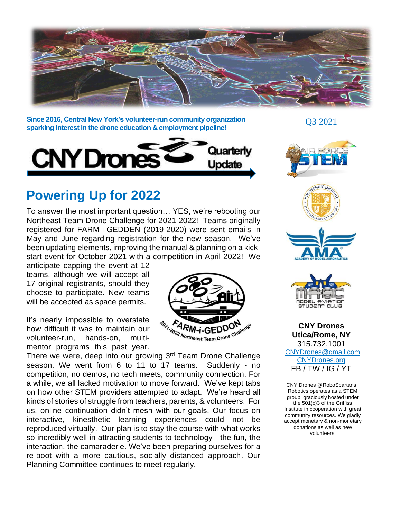

**Since 2016, Central New York's volunteer-run community organization sparking interest in the drone education & employment pipeline!**



# **Powering Up for 2022**

To answer the most important question… YES, we're rebooting our Northeast Team Drone Challenge for 2021-2022! Teams originally registered for FARM-i-GEDDEN (2019-2020) were sent emails in May and June regarding registration for the new season. We've been updating elements, improving the manual & planning on a kickstart event for October 2021 with a competition in April 2022! We

anticipate capping the event at 12 teams, although we will accept all 17 original registrants, should they choose to participate. New teams will be accepted as space permits.

It's nearly impossible to overstate how difficult it was to maintain our volunteer-run, hands-on, multimentor programs this past year.

There we were, deep into our growing 3<sup>rd</sup> Team Drone Challenge season. We went from 6 to 11 to 17 teams. Suddenly - no competition, no demos, no tech meets, community connection. For a while, we all lacked motivation to move forward. We've kept tabs on how other STEM providers attempted to adapt. We're heard all kinds of stories of struggle from teachers, parents, & volunteers. For us, online continuation didn't mesh with our goals. Our focus on interactive, kinesthetic learning experiences could not be reproduced virtually. Our plan is to stay the course with what works so incredibly well in attracting students to technology - the fun, the interaction, the camaraderie. We've been preparing ourselves for a re-boot with a more cautious, socially distanced approach. Our Planning Committee continues to meet regularly.



Q3 2021







**CNY Drones Utica/Rome, NY** 315.732.1001 CNYDrones@gmail.com [CNYDrones.org](http://www.cnydrones.org/) FB / TW / IG / YT

CNY Drones @RoboSpartans Robotics operates as a STEM group, graciously hosted under the 501(c)3 of the Griffiss Institute in cooperation with great community resources. We gladly accept monetary & non-monetary donations as well as new volunteers!